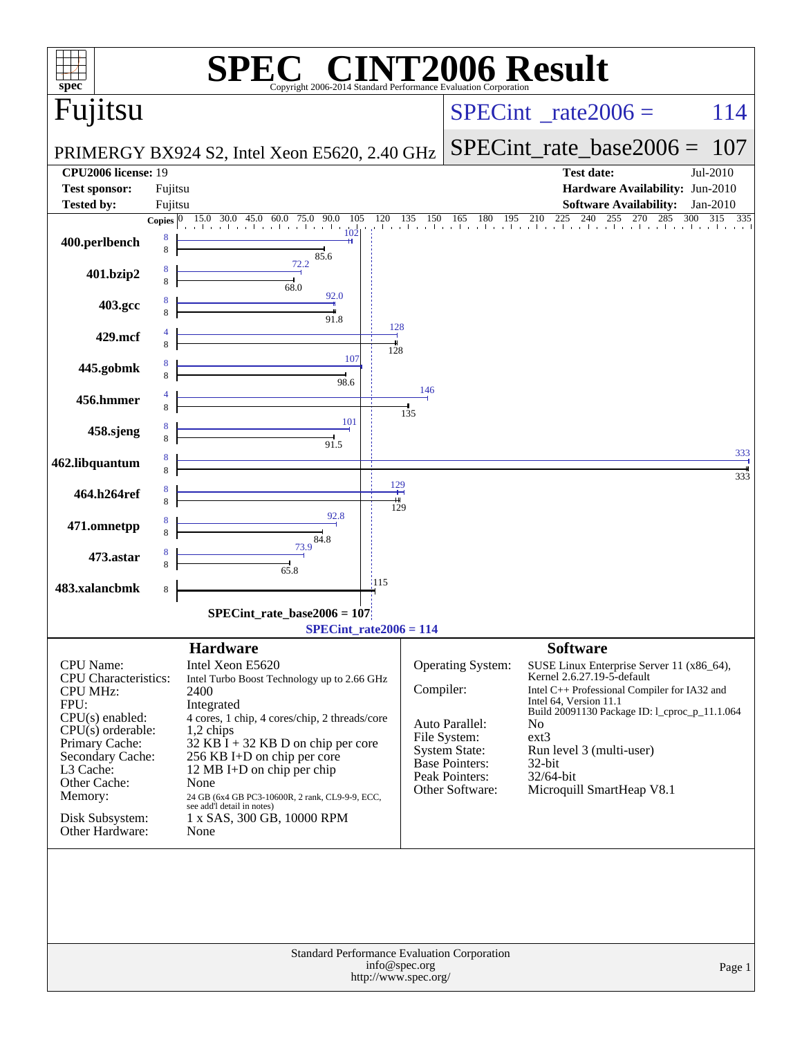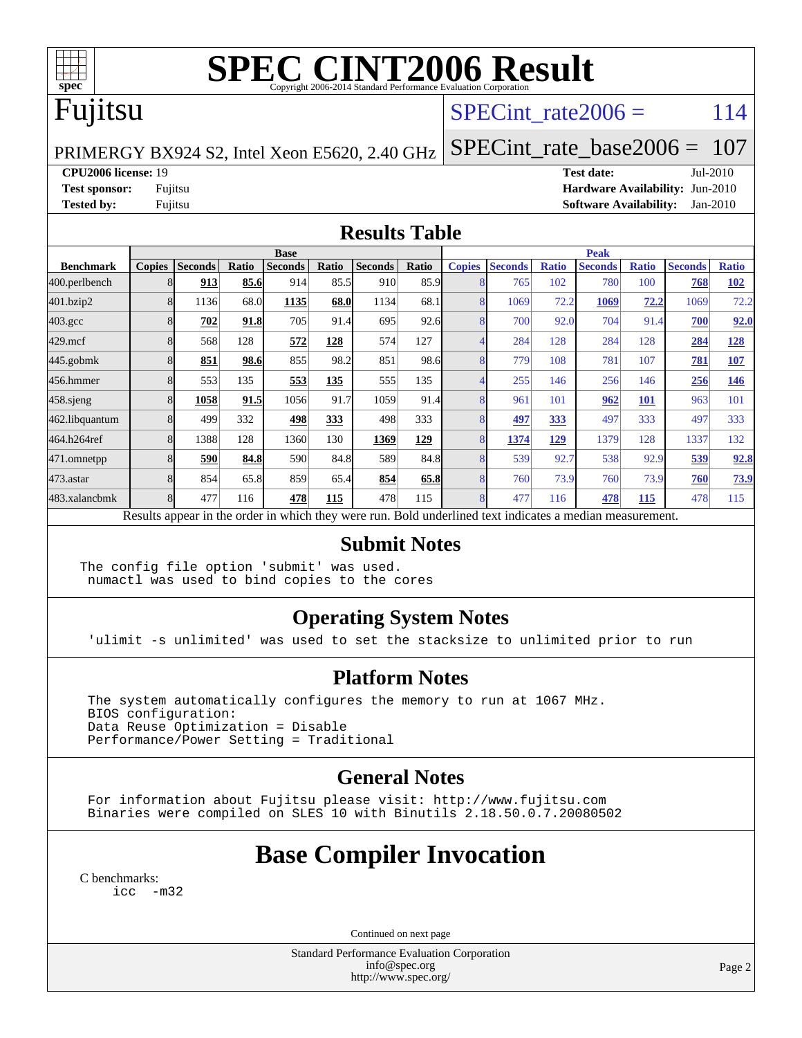

# **[SPEC CINT2006 Result](http://www.spec.org/auto/cpu2006/Docs/result-fields.html#SPECCINT2006Result)**

# Fujitsu

## SPECint rate $2006 = 114$

PRIMERGY BX924 S2, Intel Xeon E5620, 2.40 GHz

[SPECint\\_rate\\_base2006 =](http://www.spec.org/auto/cpu2006/Docs/result-fields.html#SPECintratebase2006) 107

**[CPU2006 license:](http://www.spec.org/auto/cpu2006/Docs/result-fields.html#CPU2006license)** 19 **[Test date:](http://www.spec.org/auto/cpu2006/Docs/result-fields.html#Testdate)** Jul-2010

**[Test sponsor:](http://www.spec.org/auto/cpu2006/Docs/result-fields.html#Testsponsor)** Fujitsu **[Hardware Availability:](http://www.spec.org/auto/cpu2006/Docs/result-fields.html#HardwareAvailability)** Jun-2010 **[Tested by:](http://www.spec.org/auto/cpu2006/Docs/result-fields.html#Testedby)** Fujitsu **[Software Availability:](http://www.spec.org/auto/cpu2006/Docs/result-fields.html#SoftwareAvailability)** Jan-2010

### **[Results Table](http://www.spec.org/auto/cpu2006/Docs/result-fields.html#ResultsTable)**

|                    | <b>Base</b>                                                                                              |                |       |                |       |                |       |               | <b>Peak</b>    |              |                |              |                |              |  |
|--------------------|----------------------------------------------------------------------------------------------------------|----------------|-------|----------------|-------|----------------|-------|---------------|----------------|--------------|----------------|--------------|----------------|--------------|--|
| <b>Benchmark</b>   | <b>Copies</b>                                                                                            | <b>Seconds</b> | Ratio | <b>Seconds</b> | Ratio | <b>Seconds</b> | Ratio | <b>Copies</b> | <b>Seconds</b> | <b>Ratio</b> | <b>Seconds</b> | <b>Ratio</b> | <b>Seconds</b> | <b>Ratio</b> |  |
| 400.perlbench      |                                                                                                          | 913            | 85.6  | 914            | 85.5  | 910            | 85.9  |               | 765            | 102          | 780            | 100          | 768            | <b>102</b>   |  |
| 401.bzip2          |                                                                                                          | 1136           | 68.0  | 1135           | 68.0  | 1134           | 68.1  |               | 1069           | 72.2         | 1069           | 72.2         | 1069           | 72.2         |  |
| $403.\mathrm{gcc}$ |                                                                                                          | 702            | 91.8  | 705            | 91.4  | 695            | 92.6  |               | 700            | 92.0         | 704            | 91.4         | 700            | 92.0         |  |
| $429$ .mcf         |                                                                                                          | 568            | 128   | 572            | 128   | 574            | 127   |               | 284            | 128          | 284            | 128          | 284            | 128          |  |
| $445$ .gobmk       |                                                                                                          | 851            | 98.6  | 855            | 98.2  | 851            | 98.6  |               | 779            | 108          | 781            | 107          | 781            | 107          |  |
| 456.hmmer          |                                                                                                          | 553            | 135   | 553            | 135   | 555            | 135   |               | 255            | 146          | 256            | 146          | 256            | 146          |  |
| $458$ .sjeng       |                                                                                                          | 1058           | 91.5  | 1056           | 91.7  | 1059           | 91.4  |               | 961            | 101          | 962            | 101          | 963            | 101          |  |
| 462.libquantum     |                                                                                                          | 499            | 332   | 498            | 333   | 498            | 333   |               | 497            | 333          | 497            | 333          | 497            | 333          |  |
| 464.h264ref        |                                                                                                          | 1388           | 128   | 1360           | 130   | 1369           | 129   |               | 1374           | 129          | 1379           | 128          | 1337           | 132          |  |
| 471.omnetpp        |                                                                                                          | 590            | 84.8  | 590            | 84.8  | 589            | 84.8  |               | 539            | 92.7         | 538            | 92.9         | 539            | 92.8         |  |
| $473$ . astar      |                                                                                                          | 854            | 65.8  | 859            | 65.4  | 854            | 65.8  |               | 760            | 73.9         | 760            | 73.9         | 760            | 73.9         |  |
| 483.xalancbmk      |                                                                                                          | 477            | 116   | 478            | 115   | 478            | 115   |               | 477            | 116          | 478            | <u>115</u>   | 478            | 115          |  |
|                    | Results appear in the order in which they were run. Bold underlined text indicates a median measurement. |                |       |                |       |                |       |               |                |              |                |              |                |              |  |

#### **[Submit Notes](http://www.spec.org/auto/cpu2006/Docs/result-fields.html#SubmitNotes)**

The config file option 'submit' was used. numactl was used to bind copies to the cores

## **[Operating System Notes](http://www.spec.org/auto/cpu2006/Docs/result-fields.html#OperatingSystemNotes)**

'ulimit -s unlimited' was used to set the stacksize to unlimited prior to run

#### **[Platform Notes](http://www.spec.org/auto/cpu2006/Docs/result-fields.html#PlatformNotes)**

 The system automatically configures the memory to run at 1067 MHz. BIOS configuration: Data Reuse Optimization = Disable Performance/Power Setting = Traditional

## **[General Notes](http://www.spec.org/auto/cpu2006/Docs/result-fields.html#GeneralNotes)**

 For information about Fujitsu please visit: <http://www.fujitsu.com> Binaries were compiled on SLES 10 with Binutils 2.18.50.0.7.20080502

# **[Base Compiler Invocation](http://www.spec.org/auto/cpu2006/Docs/result-fields.html#BaseCompilerInvocation)**

[C benchmarks](http://www.spec.org/auto/cpu2006/Docs/result-fields.html#Cbenchmarks): [icc -m32](http://www.spec.org/cpu2006/results/res2010q3/cpu2006-20100813-12893.flags.html#user_CCbase_intel_icc_32bit_5ff4a39e364c98233615fdd38438c6f2)

Continued on next page

Standard Performance Evaluation Corporation [info@spec.org](mailto:info@spec.org) <http://www.spec.org/>

Page 2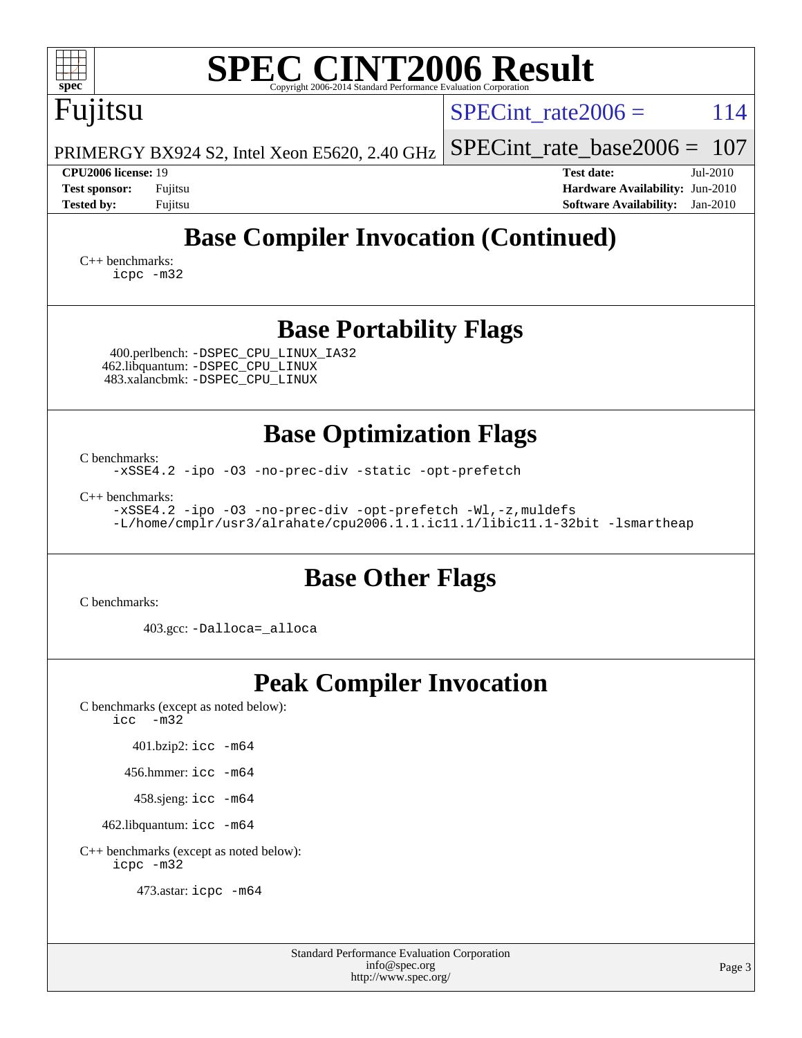| <b>SPEC CINT2006 Result</b><br>spec<br>Copyright 2006-2014 Standard Performance Evaluation Corporation                                                             |                                                                                                                 |  |  |  |  |  |  |  |  |
|--------------------------------------------------------------------------------------------------------------------------------------------------------------------|-----------------------------------------------------------------------------------------------------------------|--|--|--|--|--|--|--|--|
| Fujitsu                                                                                                                                                            | 114<br>$SPECint rate 2006 =$                                                                                    |  |  |  |  |  |  |  |  |
| PRIMERGY BX924 S2, Intel Xeon E5620, 2.40 GHz                                                                                                                      | $SPECint_rate_base2006 =$<br>107                                                                                |  |  |  |  |  |  |  |  |
| <b>CPU2006 license: 19</b><br><b>Test sponsor:</b><br>Fujitsu<br><b>Tested by:</b><br>Fujitsu                                                                      | <b>Test date:</b><br>Jul-2010<br>Hardware Availability: Jun-2010<br><b>Software Availability:</b><br>$Jan-2010$ |  |  |  |  |  |  |  |  |
| <b>Base Compiler Invocation (Continued)</b><br>$C_{++}$ benchmarks:<br>icpc -m32                                                                                   |                                                                                                                 |  |  |  |  |  |  |  |  |
| <b>Base Portability Flags</b>                                                                                                                                      |                                                                                                                 |  |  |  |  |  |  |  |  |
| 400.perlbench: -DSPEC_CPU_LINUX_IA32<br>462.libquantum: - DSPEC_CPU_LINUX<br>483.xalancbmk: -DSPEC_CPU_LINUX                                                       |                                                                                                                 |  |  |  |  |  |  |  |  |
| <b>Base Optimization Flags</b>                                                                                                                                     |                                                                                                                 |  |  |  |  |  |  |  |  |
| C benchmarks:<br>-xSSE4.2 -ipo -03 -no-prec-div -static -opt-prefetch                                                                                              |                                                                                                                 |  |  |  |  |  |  |  |  |
| $C_{++}$ benchmarks:<br>-xSSE4.2 -ipo -03 -no-prec-div -opt-prefetch -Wl,-z, muldefs<br>-L/home/cmplr/usr3/alrahate/cpu2006.1.1.ic11.1/libic11.1-32bit -lsmartheap |                                                                                                                 |  |  |  |  |  |  |  |  |
| <b>Base Other Flags</b>                                                                                                                                            |                                                                                                                 |  |  |  |  |  |  |  |  |
| C benchmarks:                                                                                                                                                      |                                                                                                                 |  |  |  |  |  |  |  |  |
| 403.gcc: -Dalloca=_alloca                                                                                                                                          |                                                                                                                 |  |  |  |  |  |  |  |  |
| <b>Peak Compiler Invocation</b><br>C benchmarks (except as noted below):<br>$\text{icc}$ -m32                                                                      |                                                                                                                 |  |  |  |  |  |  |  |  |
| 401.bzip2: icc -m64                                                                                                                                                |                                                                                                                 |  |  |  |  |  |  |  |  |
| 456.hmmer: icc -m64                                                                                                                                                |                                                                                                                 |  |  |  |  |  |  |  |  |
| 458.sjeng: icc -m64                                                                                                                                                |                                                                                                                 |  |  |  |  |  |  |  |  |
| 462.libquantum: icc -m64                                                                                                                                           |                                                                                                                 |  |  |  |  |  |  |  |  |
| C++ benchmarks (except as noted below):<br>icpc -m32                                                                                                               |                                                                                                                 |  |  |  |  |  |  |  |  |
| 473.astar: icpc -m64                                                                                                                                               |                                                                                                                 |  |  |  |  |  |  |  |  |

Standard Performance Evaluation Corporation [info@spec.org](mailto:info@spec.org) <http://www.spec.org/>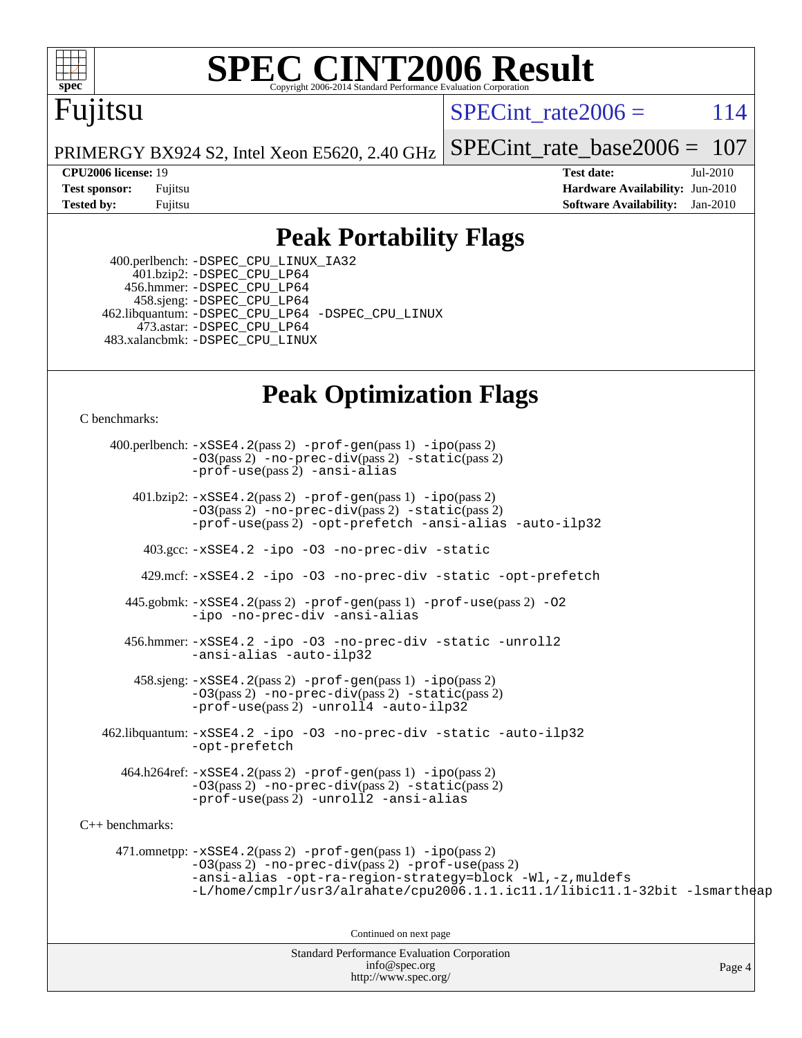

# **[SPEC CINT2006 Result](http://www.spec.org/auto/cpu2006/Docs/result-fields.html#SPECCINT2006Result)**

# Fujitsu

SPECint rate $2006 = 114$ 

PRIMERGY BX924 S2, Intel Xeon E5620, 2.40 GHz [SPECint\\_rate\\_base2006 =](http://www.spec.org/auto/cpu2006/Docs/result-fields.html#SPECintratebase2006) 107

**[CPU2006 license:](http://www.spec.org/auto/cpu2006/Docs/result-fields.html#CPU2006license)** 19 **[Test date:](http://www.spec.org/auto/cpu2006/Docs/result-fields.html#Testdate)** Jul-2010 **[Test sponsor:](http://www.spec.org/auto/cpu2006/Docs/result-fields.html#Testsponsor)** Fujitsu **[Hardware Availability:](http://www.spec.org/auto/cpu2006/Docs/result-fields.html#HardwareAvailability)** Jun-2010 **[Tested by:](http://www.spec.org/auto/cpu2006/Docs/result-fields.html#Testedby)** Fujitsu **[Software Availability:](http://www.spec.org/auto/cpu2006/Docs/result-fields.html#SoftwareAvailability)** Jan-2010

## **[Peak Portability Flags](http://www.spec.org/auto/cpu2006/Docs/result-fields.html#PeakPortabilityFlags)**

 400.perlbench: [-DSPEC\\_CPU\\_LINUX\\_IA32](http://www.spec.org/cpu2006/results/res2010q3/cpu2006-20100813-12893.flags.html#b400.perlbench_peakCPORTABILITY_DSPEC_CPU_LINUX_IA32) 401.bzip2: [-DSPEC\\_CPU\\_LP64](http://www.spec.org/cpu2006/results/res2010q3/cpu2006-20100813-12893.flags.html#suite_peakCPORTABILITY401_bzip2_DSPEC_CPU_LP64) 456.hmmer: [-DSPEC\\_CPU\\_LP64](http://www.spec.org/cpu2006/results/res2010q3/cpu2006-20100813-12893.flags.html#suite_peakCPORTABILITY456_hmmer_DSPEC_CPU_LP64) 458.sjeng: [-DSPEC\\_CPU\\_LP64](http://www.spec.org/cpu2006/results/res2010q3/cpu2006-20100813-12893.flags.html#suite_peakCPORTABILITY458_sjeng_DSPEC_CPU_LP64) 462.libquantum: [-DSPEC\\_CPU\\_LP64](http://www.spec.org/cpu2006/results/res2010q3/cpu2006-20100813-12893.flags.html#suite_peakCPORTABILITY462_libquantum_DSPEC_CPU_LP64) [-DSPEC\\_CPU\\_LINUX](http://www.spec.org/cpu2006/results/res2010q3/cpu2006-20100813-12893.flags.html#b462.libquantum_peakCPORTABILITY_DSPEC_CPU_LINUX) 473.astar: [-DSPEC\\_CPU\\_LP64](http://www.spec.org/cpu2006/results/res2010q3/cpu2006-20100813-12893.flags.html#suite_peakCXXPORTABILITY473_astar_DSPEC_CPU_LP64) 483.xalancbmk: [-DSPEC\\_CPU\\_LINUX](http://www.spec.org/cpu2006/results/res2010q3/cpu2006-20100813-12893.flags.html#b483.xalancbmk_peakCXXPORTABILITY_DSPEC_CPU_LINUX)

## **[Peak Optimization Flags](http://www.spec.org/auto/cpu2006/Docs/result-fields.html#PeakOptimizationFlags)**

[C benchmarks](http://www.spec.org/auto/cpu2006/Docs/result-fields.html#Cbenchmarks):

Standard Performance Evaluation Corporation 400.perlbench: [-xSSE4.2](http://www.spec.org/cpu2006/results/res2010q3/cpu2006-20100813-12893.flags.html#user_peakPASS2_CFLAGSPASS2_LDCFLAGS400_perlbench_f-xSSE42_f91528193cf0b216347adb8b939d4107)(pass 2) [-prof-gen](http://www.spec.org/cpu2006/results/res2010q3/cpu2006-20100813-12893.flags.html#user_peakPASS1_CFLAGSPASS1_LDCFLAGS400_perlbench_prof_gen_e43856698f6ca7b7e442dfd80e94a8fc)(pass 1) [-ipo](http://www.spec.org/cpu2006/results/res2010q3/cpu2006-20100813-12893.flags.html#user_peakPASS2_CFLAGSPASS2_LDCFLAGS400_perlbench_f-ipo)(pass 2) [-O3](http://www.spec.org/cpu2006/results/res2010q3/cpu2006-20100813-12893.flags.html#user_peakPASS2_CFLAGSPASS2_LDCFLAGS400_perlbench_f-O3)(pass 2) [-no-prec-div](http://www.spec.org/cpu2006/results/res2010q3/cpu2006-20100813-12893.flags.html#user_peakPASS2_CFLAGSPASS2_LDCFLAGS400_perlbench_f-no-prec-div)(pass 2) [-static](http://www.spec.org/cpu2006/results/res2010q3/cpu2006-20100813-12893.flags.html#user_peakPASS2_CFLAGSPASS2_LDCFLAGS400_perlbench_f-static)(pass 2) [-prof-use](http://www.spec.org/cpu2006/results/res2010q3/cpu2006-20100813-12893.flags.html#user_peakPASS2_CFLAGSPASS2_LDCFLAGS400_perlbench_prof_use_bccf7792157ff70d64e32fe3e1250b55)(pass 2) [-ansi-alias](http://www.spec.org/cpu2006/results/res2010q3/cpu2006-20100813-12893.flags.html#user_peakCOPTIMIZE400_perlbench_f-ansi-alias) 401.bzip2: [-xSSE4.2](http://www.spec.org/cpu2006/results/res2010q3/cpu2006-20100813-12893.flags.html#user_peakPASS2_CFLAGSPASS2_LDCFLAGS401_bzip2_f-xSSE42_f91528193cf0b216347adb8b939d4107)(pass 2) [-prof-gen](http://www.spec.org/cpu2006/results/res2010q3/cpu2006-20100813-12893.flags.html#user_peakPASS1_CFLAGSPASS1_LDCFLAGS401_bzip2_prof_gen_e43856698f6ca7b7e442dfd80e94a8fc)(pass 1) [-ipo](http://www.spec.org/cpu2006/results/res2010q3/cpu2006-20100813-12893.flags.html#user_peakPASS2_CFLAGSPASS2_LDCFLAGS401_bzip2_f-ipo)(pass 2) [-O3](http://www.spec.org/cpu2006/results/res2010q3/cpu2006-20100813-12893.flags.html#user_peakPASS2_CFLAGSPASS2_LDCFLAGS401_bzip2_f-O3)(pass 2) [-no-prec-div](http://www.spec.org/cpu2006/results/res2010q3/cpu2006-20100813-12893.flags.html#user_peakPASS2_CFLAGSPASS2_LDCFLAGS401_bzip2_f-no-prec-div)(pass 2) [-static](http://www.spec.org/cpu2006/results/res2010q3/cpu2006-20100813-12893.flags.html#user_peakPASS2_CFLAGSPASS2_LDCFLAGS401_bzip2_f-static)(pass 2) [-prof-use](http://www.spec.org/cpu2006/results/res2010q3/cpu2006-20100813-12893.flags.html#user_peakPASS2_CFLAGSPASS2_LDCFLAGS401_bzip2_prof_use_bccf7792157ff70d64e32fe3e1250b55)(pass 2) [-opt-prefetch](http://www.spec.org/cpu2006/results/res2010q3/cpu2006-20100813-12893.flags.html#user_peakCOPTIMIZE401_bzip2_f-opt-prefetch) [-ansi-alias](http://www.spec.org/cpu2006/results/res2010q3/cpu2006-20100813-12893.flags.html#user_peakCOPTIMIZE401_bzip2_f-ansi-alias) [-auto-ilp32](http://www.spec.org/cpu2006/results/res2010q3/cpu2006-20100813-12893.flags.html#user_peakCOPTIMIZE401_bzip2_f-auto-ilp32) 403.gcc: [-xSSE4.2](http://www.spec.org/cpu2006/results/res2010q3/cpu2006-20100813-12893.flags.html#user_peakCOPTIMIZE403_gcc_f-xSSE42_f91528193cf0b216347adb8b939d4107) [-ipo](http://www.spec.org/cpu2006/results/res2010q3/cpu2006-20100813-12893.flags.html#user_peakCOPTIMIZE403_gcc_f-ipo) [-O3](http://www.spec.org/cpu2006/results/res2010q3/cpu2006-20100813-12893.flags.html#user_peakCOPTIMIZE403_gcc_f-O3) [-no-prec-div](http://www.spec.org/cpu2006/results/res2010q3/cpu2006-20100813-12893.flags.html#user_peakCOPTIMIZE403_gcc_f-no-prec-div) [-static](http://www.spec.org/cpu2006/results/res2010q3/cpu2006-20100813-12893.flags.html#user_peakCOPTIMIZE403_gcc_f-static) 429.mcf: [-xSSE4.2](http://www.spec.org/cpu2006/results/res2010q3/cpu2006-20100813-12893.flags.html#user_peakCOPTIMIZE429_mcf_f-xSSE42_f91528193cf0b216347adb8b939d4107) [-ipo](http://www.spec.org/cpu2006/results/res2010q3/cpu2006-20100813-12893.flags.html#user_peakCOPTIMIZE429_mcf_f-ipo) [-O3](http://www.spec.org/cpu2006/results/res2010q3/cpu2006-20100813-12893.flags.html#user_peakCOPTIMIZE429_mcf_f-O3) [-no-prec-div](http://www.spec.org/cpu2006/results/res2010q3/cpu2006-20100813-12893.flags.html#user_peakCOPTIMIZE429_mcf_f-no-prec-div) [-static](http://www.spec.org/cpu2006/results/res2010q3/cpu2006-20100813-12893.flags.html#user_peakCOPTIMIZE429_mcf_f-static) [-opt-prefetch](http://www.spec.org/cpu2006/results/res2010q3/cpu2006-20100813-12893.flags.html#user_peakCOPTIMIZE429_mcf_f-opt-prefetch) 445.gobmk: [-xSSE4.2](http://www.spec.org/cpu2006/results/res2010q3/cpu2006-20100813-12893.flags.html#user_peakPASS2_CFLAGSPASS2_LDCFLAGS445_gobmk_f-xSSE42_f91528193cf0b216347adb8b939d4107)(pass 2) [-prof-gen](http://www.spec.org/cpu2006/results/res2010q3/cpu2006-20100813-12893.flags.html#user_peakPASS1_CFLAGSPASS1_LDCFLAGS445_gobmk_prof_gen_e43856698f6ca7b7e442dfd80e94a8fc)(pass 1) [-prof-use](http://www.spec.org/cpu2006/results/res2010q3/cpu2006-20100813-12893.flags.html#user_peakPASS2_CFLAGSPASS2_LDCFLAGS445_gobmk_prof_use_bccf7792157ff70d64e32fe3e1250b55)(pass 2) [-O2](http://www.spec.org/cpu2006/results/res2010q3/cpu2006-20100813-12893.flags.html#user_peakCOPTIMIZE445_gobmk_f-O2) [-ipo](http://www.spec.org/cpu2006/results/res2010q3/cpu2006-20100813-12893.flags.html#user_peakCOPTIMIZE445_gobmk_f-ipo) [-no-prec-div](http://www.spec.org/cpu2006/results/res2010q3/cpu2006-20100813-12893.flags.html#user_peakCOPTIMIZE445_gobmk_f-no-prec-div) [-ansi-alias](http://www.spec.org/cpu2006/results/res2010q3/cpu2006-20100813-12893.flags.html#user_peakCOPTIMIZE445_gobmk_f-ansi-alias) 456.hmmer: [-xSSE4.2](http://www.spec.org/cpu2006/results/res2010q3/cpu2006-20100813-12893.flags.html#user_peakCOPTIMIZE456_hmmer_f-xSSE42_f91528193cf0b216347adb8b939d4107) [-ipo](http://www.spec.org/cpu2006/results/res2010q3/cpu2006-20100813-12893.flags.html#user_peakCOPTIMIZE456_hmmer_f-ipo) [-O3](http://www.spec.org/cpu2006/results/res2010q3/cpu2006-20100813-12893.flags.html#user_peakCOPTIMIZE456_hmmer_f-O3) [-no-prec-div](http://www.spec.org/cpu2006/results/res2010q3/cpu2006-20100813-12893.flags.html#user_peakCOPTIMIZE456_hmmer_f-no-prec-div) [-static](http://www.spec.org/cpu2006/results/res2010q3/cpu2006-20100813-12893.flags.html#user_peakCOPTIMIZE456_hmmer_f-static) [-unroll2](http://www.spec.org/cpu2006/results/res2010q3/cpu2006-20100813-12893.flags.html#user_peakCOPTIMIZE456_hmmer_f-unroll_784dae83bebfb236979b41d2422d7ec2) [-ansi-alias](http://www.spec.org/cpu2006/results/res2010q3/cpu2006-20100813-12893.flags.html#user_peakCOPTIMIZE456_hmmer_f-ansi-alias) [-auto-ilp32](http://www.spec.org/cpu2006/results/res2010q3/cpu2006-20100813-12893.flags.html#user_peakCOPTIMIZE456_hmmer_f-auto-ilp32)  $458 \text{.}$  sjeng:  $-xSSE4$ .  $2(\text{pass 2})$  -prof-qen(pass 1) [-ipo](http://www.spec.org/cpu2006/results/res2010q3/cpu2006-20100813-12893.flags.html#user_peakPASS2_CFLAGSPASS2_LDCFLAGS458_sjeng_f-ipo)(pass 2) [-O3](http://www.spec.org/cpu2006/results/res2010q3/cpu2006-20100813-12893.flags.html#user_peakPASS2_CFLAGSPASS2_LDCFLAGS458_sjeng_f-O3)(pass 2) [-no-prec-div](http://www.spec.org/cpu2006/results/res2010q3/cpu2006-20100813-12893.flags.html#user_peakPASS2_CFLAGSPASS2_LDCFLAGS458_sjeng_f-no-prec-div)(pass 2) [-static](http://www.spec.org/cpu2006/results/res2010q3/cpu2006-20100813-12893.flags.html#user_peakPASS2_CFLAGSPASS2_LDCFLAGS458_sjeng_f-static)(pass 2) [-prof-use](http://www.spec.org/cpu2006/results/res2010q3/cpu2006-20100813-12893.flags.html#user_peakPASS2_CFLAGSPASS2_LDCFLAGS458_sjeng_prof_use_bccf7792157ff70d64e32fe3e1250b55)(pass 2) [-unroll4](http://www.spec.org/cpu2006/results/res2010q3/cpu2006-20100813-12893.flags.html#user_peakCOPTIMIZE458_sjeng_f-unroll_4e5e4ed65b7fd20bdcd365bec371b81f) [-auto-ilp32](http://www.spec.org/cpu2006/results/res2010q3/cpu2006-20100813-12893.flags.html#user_peakCOPTIMIZE458_sjeng_f-auto-ilp32) 462.libquantum: [-xSSE4.2](http://www.spec.org/cpu2006/results/res2010q3/cpu2006-20100813-12893.flags.html#user_peakCOPTIMIZE462_libquantum_f-xSSE42_f91528193cf0b216347adb8b939d4107) [-ipo](http://www.spec.org/cpu2006/results/res2010q3/cpu2006-20100813-12893.flags.html#user_peakCOPTIMIZE462_libquantum_f-ipo) [-O3](http://www.spec.org/cpu2006/results/res2010q3/cpu2006-20100813-12893.flags.html#user_peakCOPTIMIZE462_libquantum_f-O3) [-no-prec-div](http://www.spec.org/cpu2006/results/res2010q3/cpu2006-20100813-12893.flags.html#user_peakCOPTIMIZE462_libquantum_f-no-prec-div) [-static](http://www.spec.org/cpu2006/results/res2010q3/cpu2006-20100813-12893.flags.html#user_peakCOPTIMIZE462_libquantum_f-static) [-auto-ilp32](http://www.spec.org/cpu2006/results/res2010q3/cpu2006-20100813-12893.flags.html#user_peakCOPTIMIZE462_libquantum_f-auto-ilp32) [-opt-prefetch](http://www.spec.org/cpu2006/results/res2010q3/cpu2006-20100813-12893.flags.html#user_peakCOPTIMIZE462_libquantum_f-opt-prefetch) 464.h264ref: [-xSSE4.2](http://www.spec.org/cpu2006/results/res2010q3/cpu2006-20100813-12893.flags.html#user_peakPASS2_CFLAGSPASS2_LDCFLAGS464_h264ref_f-xSSE42_f91528193cf0b216347adb8b939d4107)(pass 2) [-prof-gen](http://www.spec.org/cpu2006/results/res2010q3/cpu2006-20100813-12893.flags.html#user_peakPASS1_CFLAGSPASS1_LDCFLAGS464_h264ref_prof_gen_e43856698f6ca7b7e442dfd80e94a8fc)(pass 1) [-ipo](http://www.spec.org/cpu2006/results/res2010q3/cpu2006-20100813-12893.flags.html#user_peakPASS2_CFLAGSPASS2_LDCFLAGS464_h264ref_f-ipo)(pass 2) [-O3](http://www.spec.org/cpu2006/results/res2010q3/cpu2006-20100813-12893.flags.html#user_peakPASS2_CFLAGSPASS2_LDCFLAGS464_h264ref_f-O3)(pass 2) [-no-prec-div](http://www.spec.org/cpu2006/results/res2010q3/cpu2006-20100813-12893.flags.html#user_peakPASS2_CFLAGSPASS2_LDCFLAGS464_h264ref_f-no-prec-div)(pass 2) [-static](http://www.spec.org/cpu2006/results/res2010q3/cpu2006-20100813-12893.flags.html#user_peakPASS2_CFLAGSPASS2_LDCFLAGS464_h264ref_f-static)(pass 2) [-prof-use](http://www.spec.org/cpu2006/results/res2010q3/cpu2006-20100813-12893.flags.html#user_peakPASS2_CFLAGSPASS2_LDCFLAGS464_h264ref_prof_use_bccf7792157ff70d64e32fe3e1250b55)(pass 2) [-unroll2](http://www.spec.org/cpu2006/results/res2010q3/cpu2006-20100813-12893.flags.html#user_peakCOPTIMIZE464_h264ref_f-unroll_784dae83bebfb236979b41d2422d7ec2) [-ansi-alias](http://www.spec.org/cpu2006/results/res2010q3/cpu2006-20100813-12893.flags.html#user_peakCOPTIMIZE464_h264ref_f-ansi-alias) [C++ benchmarks:](http://www.spec.org/auto/cpu2006/Docs/result-fields.html#CXXbenchmarks) 471.omnetpp: [-xSSE4.2](http://www.spec.org/cpu2006/results/res2010q3/cpu2006-20100813-12893.flags.html#user_peakPASS2_CXXFLAGSPASS2_LDCXXFLAGS471_omnetpp_f-xSSE42_f91528193cf0b216347adb8b939d4107)(pass 2) [-prof-gen](http://www.spec.org/cpu2006/results/res2010q3/cpu2006-20100813-12893.flags.html#user_peakPASS1_CXXFLAGSPASS1_LDCXXFLAGS471_omnetpp_prof_gen_e43856698f6ca7b7e442dfd80e94a8fc)(pass 1) [-ipo](http://www.spec.org/cpu2006/results/res2010q3/cpu2006-20100813-12893.flags.html#user_peakPASS2_CXXFLAGSPASS2_LDCXXFLAGS471_omnetpp_f-ipo)(pass 2) [-O3](http://www.spec.org/cpu2006/results/res2010q3/cpu2006-20100813-12893.flags.html#user_peakPASS2_CXXFLAGSPASS2_LDCXXFLAGS471_omnetpp_f-O3)(pass 2) [-no-prec-div](http://www.spec.org/cpu2006/results/res2010q3/cpu2006-20100813-12893.flags.html#user_peakPASS2_CXXFLAGSPASS2_LDCXXFLAGS471_omnetpp_f-no-prec-div)(pass 2) [-prof-use](http://www.spec.org/cpu2006/results/res2010q3/cpu2006-20100813-12893.flags.html#user_peakPASS2_CXXFLAGSPASS2_LDCXXFLAGS471_omnetpp_prof_use_bccf7792157ff70d64e32fe3e1250b55)(pass 2) [-ansi-alias](http://www.spec.org/cpu2006/results/res2010q3/cpu2006-20100813-12893.flags.html#user_peakCXXOPTIMIZE471_omnetpp_f-ansi-alias) [-opt-ra-region-strategy=block](http://www.spec.org/cpu2006/results/res2010q3/cpu2006-20100813-12893.flags.html#user_peakCXXOPTIMIZE471_omnetpp_f-opt-ra-region-strategy-block_a0a37c372d03933b2a18d4af463c1f69) [-Wl,-z,muldefs](http://www.spec.org/cpu2006/results/res2010q3/cpu2006-20100813-12893.flags.html#user_peakEXTRA_LDFLAGS471_omnetpp_link_force_multiple1_74079c344b956b9658436fd1b6dd3a8a) [-L/home/cmplr/usr3/alrahate/cpu2006.1.1.ic11.1/libic11.1-32bit -lsmartheap](http://www.spec.org/cpu2006/results/res2010q3/cpu2006-20100813-12893.flags.html#user_peakEXTRA_LIBS471_omnetpp_SmartHeap_d86dffe4a79b79ef8890d5cce17030c3) Continued on next page

[info@spec.org](mailto:info@spec.org) <http://www.spec.org/>

Page 4